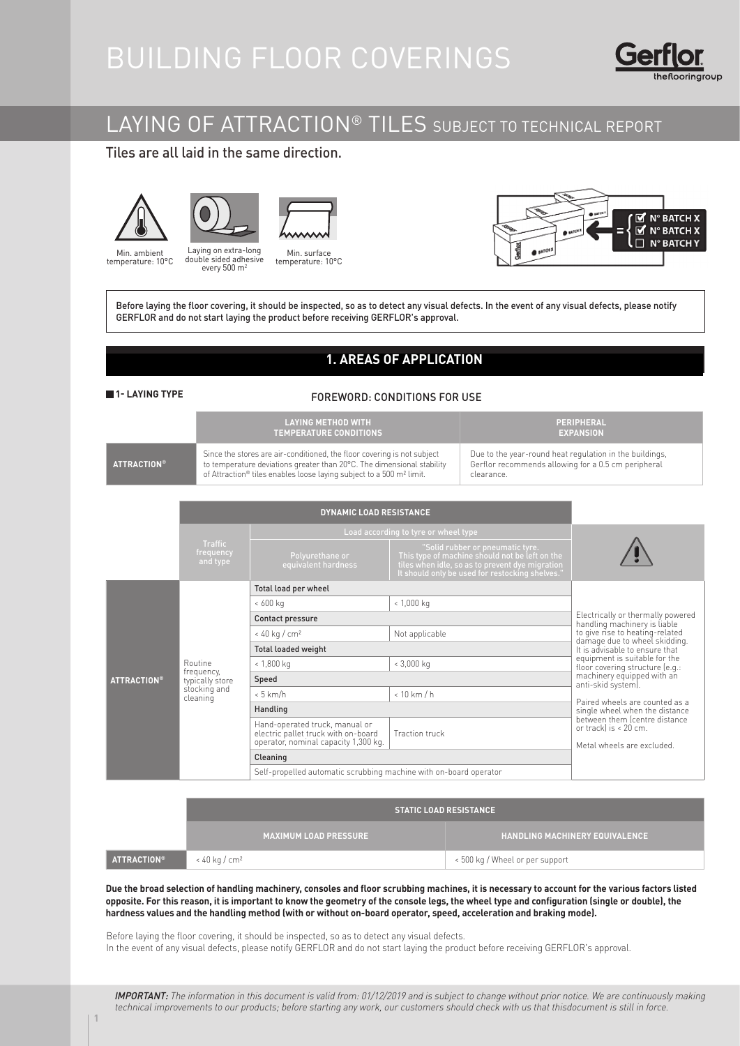# BUILDING FLOOR COVERINGS



### LAYING OF ATTRACTION® TILES SUBJECT TO TECHNICAL REPORT

### Tiles are all laid in the same direction.







Min. ambient **mínima: 10 °C** temperature: 10°C

Laying on extra-long double sided adhesive every 500 m<sup>2</sup>



**Min. surface**<br>temperature: 10°C



Before laying the floor covering, it should be inspected, so as to detect any visual defects. In the event of any visual defects, please notify GERFLOR and do not start laying the product before receiving GERFLOR's approval.

### **1. AREAS OF APPLICATION**

#### **1- LAYING TYPE**

#### FOREWORD: CONDITIONS FOR USE

|                    | I LAYING METHOD WITH '<br><b>TEMPERATURE CONDITIONS</b>                                                                                                                                                                               | PERIPHERAL<br><b>EXPANSION</b>                                                                                               |
|--------------------|---------------------------------------------------------------------------------------------------------------------------------------------------------------------------------------------------------------------------------------|------------------------------------------------------------------------------------------------------------------------------|
| <b>ATTRACTION®</b> | Since the stores are air-conditioned, the floor covering is not subject<br>to temperature deviations greater than 20°C. The dimensional stability<br>of Attraction® tiles enables loose laying subject to a 500 m <sup>2</sup> limit. | Due to the year-round heat regulation in the buildings,<br>Gerflor recommends allowing for a 0.5 cm peripheral<br>clearance. |

|                    |                                                                      | <b>DYNAMIC LOAD RESISTANCE</b>                                                                                |                                                                                                                                                                                          |                                                                                      |
|--------------------|----------------------------------------------------------------------|---------------------------------------------------------------------------------------------------------------|------------------------------------------------------------------------------------------------------------------------------------------------------------------------------------------|--------------------------------------------------------------------------------------|
|                    |                                                                      | Load according to tyre or wheel type                                                                          |                                                                                                                                                                                          |                                                                                      |
|                    | <b>Traffic</b><br>frequency<br>and type                              | Polyurethane or<br>equivalent hardness                                                                        | "Solid rubber or pneumatic tyre.<br>This type of machine should not be left on the<br>tiles when idle, so as to prevent dye migration<br>It should only be used for restocking shelves." |                                                                                      |
|                    |                                                                      | Total load per wheel                                                                                          |                                                                                                                                                                                          |                                                                                      |
|                    |                                                                      | $< 600$ kg                                                                                                    | $< 1,000$ kg                                                                                                                                                                             |                                                                                      |
|                    |                                                                      | Contact pressure                                                                                              |                                                                                                                                                                                          | Electrically or thermally powered<br>handling machinery is liable                    |
|                    |                                                                      | $< 40$ kg / cm <sup>2</sup>                                                                                   | Not applicable                                                                                                                                                                           | to give rise to heating-related                                                      |
|                    |                                                                      | <b>Total loaded weight</b>                                                                                    | damage due to wheel skidding.<br>It is advisable to ensure that                                                                                                                          |                                                                                      |
| <b>ATTRACTION®</b> | Routine<br>frequency,<br>typically store<br>stocking and<br>cleaning | $< 1,800$ kg                                                                                                  | $< 3,000$ kg                                                                                                                                                                             | equipment is suitable for the<br>floor covering structure (e.g.:                     |
|                    |                                                                      | Speed                                                                                                         | machinery equipped with an<br>anti-skid system).                                                                                                                                         |                                                                                      |
|                    |                                                                      | $< 5$ km/h                                                                                                    | $< 10$ km $/h$                                                                                                                                                                           |                                                                                      |
|                    |                                                                      | Handling                                                                                                      | Paired wheels are counted as a<br>single wheel when the distance                                                                                                                         |                                                                                      |
|                    |                                                                      | Hand-operated truck, manual or<br>electric pallet truck with on-board<br>operator, nominal capacity 1,300 kg. | Traction truck                                                                                                                                                                           | between them (centre distance<br>or trackl is < 20 cm.<br>Metal wheels are excluded. |
|                    |                                                                      | Cleaning                                                                                                      |                                                                                                                                                                                          |                                                                                      |
|                    |                                                                      | Self-propelled automatic scrubbing machine with on-board operator                                             |                                                                                                                                                                                          |                                                                                      |

|                    | <b>STATIC LOAD RESISTANCE</b> |                                 |  |  |  |  |
|--------------------|-------------------------------|---------------------------------|--|--|--|--|
|                    | <b>MAXIMUM LOAD PRESSURE</b>  | HANDLING MACHINERY EQUIVALENCE. |  |  |  |  |
| <b>ATTRACTION®</b> | $<$ 40 kg / cm <sup>2</sup>   | < 500 kg / Wheel or per support |  |  |  |  |

**Due the broad selection of handling machinery, consoles and floor scrubbing machines, it is necessary to account for the various factors listed opposite. For this reason, it is important to know the geometry of the console legs, the wheel type and configuration (single or double), the hardness values and the handling method (with or without on-board operator, speed, acceleration and braking mode).**

Before laying the floor covering, it should be inspected, so as to detect any visual defects. In the event of any visual defects, please notify GERFLOR and do not start laying the product before receiving GERFLOR's approval.

IMPORTANT: The information in this document is valid from: 01/12/2019 and is subject to change without prior notice. We are continuously making technical improvements to our products; before starting any work, our customers should check with us that thisdocument is still in force.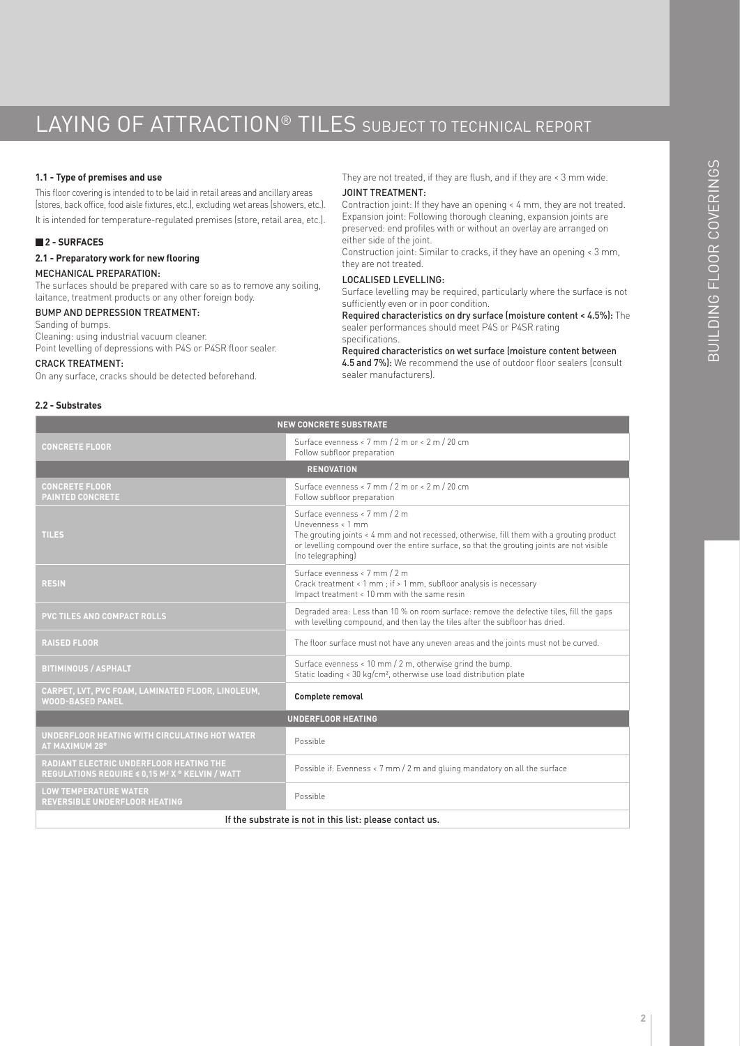## LAYING OF ATTRACTION<sup>®</sup> TILES SUBJECT TO TECHNICAL REPORT

#### **1.1 - Type of premises and use**

This floor covering is intended to to be laid in retail areas and ancillary areas (stores, back office, food aisle fixtures, etc.), excluding wet areas (showers, etc.). It is intended for temperature-regulated premises (store, retail area, etc.).

#### **2 - SURFACES**

**2.1 - Preparatory work for new flooring** MECHANICAL PREPARATION:

The surfaces should be prepared with care so as to remove any soiling, laitance, treatment products or any other foreign body.

#### BUMP AND DEPRESSION TREATMENT:

Sanding of bumps. Cleaning: using industrial vacuum cleaner. Point levelling of depressions with P4S or P4SR floor sealer.

#### CRACK TREATMENT:

On any surface, cracks should be detected beforehand.

#### They are not treated, if they are flush, and if they are < 3 mm wide. JOINT TREATMENT:

Contraction joint: If they have an opening < 4 mm, they are not treated. Expansion joint: Following thorough cleaning, expansion joints are preserved: end profiles with or without an overlay are arranged on either side of the joint.

Construction joint: Similar to cracks, if they have an opening < 3 mm, they are not treated.

#### LOCALISED LEVELLING:

Surface levelling may be required, particularly where the surface is not sufficiently even or in poor condition.

Required characteristics on dry surface (moisture content < 4.5%): The sealer performances should meet P4S or P4SR rating specifications.

#### Required characteristics on wet surface (moisture content between

4.5 and 7%): We recommend the use of outdoor floor sealers (consult sealer manufacturers).

#### **2.2 - Substrates**

| <b>NEW CONCRETE SUBSTRATE</b>                                                                                |                                                                                                                                                                                                                                                                    |  |  |  |  |
|--------------------------------------------------------------------------------------------------------------|--------------------------------------------------------------------------------------------------------------------------------------------------------------------------------------------------------------------------------------------------------------------|--|--|--|--|
| <b>CONCRETE FLOOR</b>                                                                                        | Surface evenness < 7 mm / 2 m or < 2 m / 20 cm<br>Follow subfloor preparation                                                                                                                                                                                      |  |  |  |  |
|                                                                                                              | <b>RENOVATION</b>                                                                                                                                                                                                                                                  |  |  |  |  |
| <b>CONCRETE FLOOR</b><br><b>PAINTED CONCRETE</b>                                                             | Surface evenness < 7 mm / 2 m or < 2 m / 20 cm<br>Follow subfloor preparation                                                                                                                                                                                      |  |  |  |  |
| <b>TILES</b>                                                                                                 | Surface evenness < 7 mm / 2 m<br>Unevenness < 1 mm<br>The grouting joints < 4 mm and not recessed, otherwise, fill them with a grouting product<br>or levelling compound over the entire surface, so that the grouting joints are not visible<br>(no telegraphing) |  |  |  |  |
| <b>RESIN</b>                                                                                                 | Surface evenness < 7 mm / 2 m<br>Crack treatment < 1 mm; if > 1 mm, subfloor analysis is necessary<br>Impact treatment < 10 mm with the same resin                                                                                                                 |  |  |  |  |
| PVC TILES AND COMPACT ROLLS                                                                                  | Degraded area: Less than 10 % on room surface: remove the defective tiles, fill the gaps<br>with levelling compound, and then lay the tiles after the subfloor has dried.                                                                                          |  |  |  |  |
| <b>RAISED FLOOR</b>                                                                                          | The floor surface must not have any uneven areas and the joints must not be curved.                                                                                                                                                                                |  |  |  |  |
| <b>BITIMINOUS / ASPHALT</b>                                                                                  | Surface evenness < 10 mm / 2 m, otherwise grind the bump.<br>Static loading < 30 kg/cm <sup>2</sup> , otherwise use load distribution plate                                                                                                                        |  |  |  |  |
| CARPET, LVT, PVC FOAM, LAMINATED FLOOR, LINOLEUM,<br><b>WOOD-BASED PANEL</b>                                 | Complete removal                                                                                                                                                                                                                                                   |  |  |  |  |
| <b>UNDERFLOOR HEATING</b>                                                                                    |                                                                                                                                                                                                                                                                    |  |  |  |  |
| UNDERFLOOR HEATING WITH CIRCULATING HOT WATER<br>AT MAXIMUM 28°                                              | Possible                                                                                                                                                                                                                                                           |  |  |  |  |
| RADIANT ELECTRIC UNDERFLOOR HEATING THE<br><b>REGULATIONS REQUIRE ≤ 0,15 M<sup>2</sup> X ° KELVIN / WATT</b> | Possible if: Evenness < 7 mm / 2 m and gluing mandatory on all the surface                                                                                                                                                                                         |  |  |  |  |
| <b>LOW TEMPERATURE WATER</b><br><b>REVERSIBLE UNDERFLOOR HEATING</b>                                         | Possible                                                                                                                                                                                                                                                           |  |  |  |  |
| If the substrate is not in this list: please contact us.                                                     |                                                                                                                                                                                                                                                                    |  |  |  |  |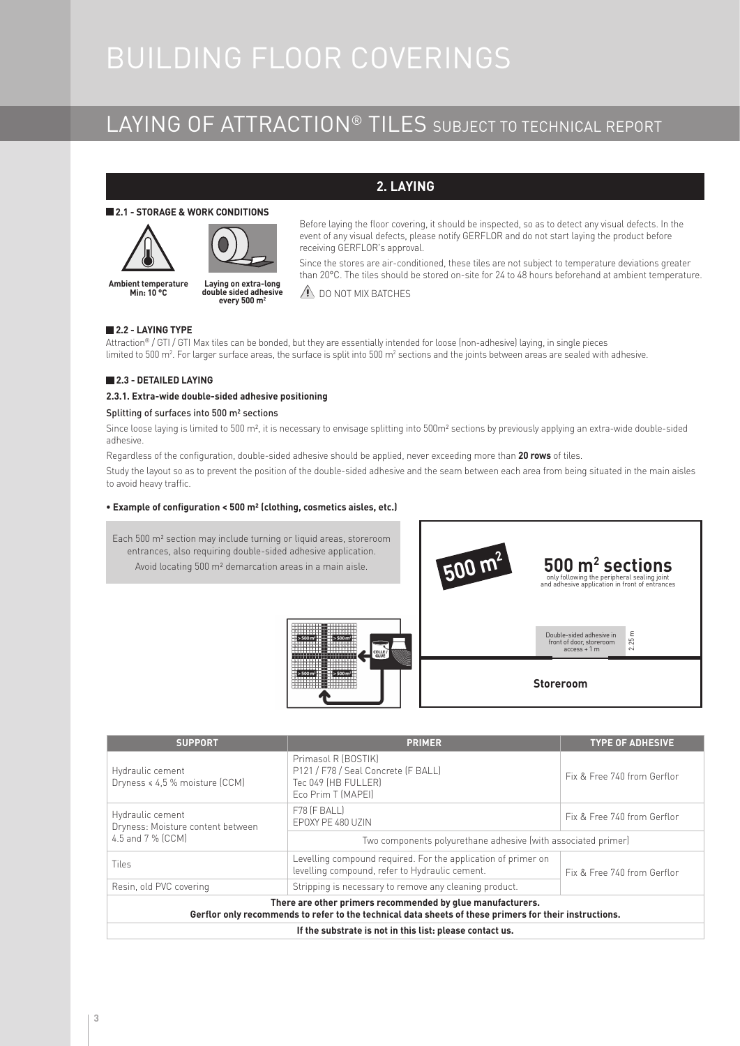# BUILDING FLOOR COVERINGS

### LAYING OF ATTRACTION® TILES SUBJECT TO TECHNICAL REPORT

### **2. LAYING**

#### **2.1 - STORAGE & WORK CONDITIONS**





**Ambient temperature mínima: 10 °C Min: 10 °C Temperatura do suporte mínima: 10 °C Ambient temperature Laying on extra-long double sided adhesive every 500 m2**

Before laying the floor covering, it should be inspected, so as to detect any visual defects. In the event of any visual defects, please notify GERFLOR and do not start laying the product before receiving GERFLOR's approval.

Since the stores are air-conditioned, these tiles are not subject to temperature deviations greater than 20°C. The tiles should be stored on-site for 24 to 48 hours beforehand at ambient temperature.

**2.2 - LAYING TYPE** Attraction® / GTI / GTI Max tiles can be bonded, but they are essentially intended for loose (non-adhesive) laying, in single pieces limited to 500 m<sup>2</sup>. For larger surface areas, the surface is split into 500 m<sup>2</sup> sections and the joints between areas are sealed with adhesive.

 $\triangle$  DO NOT MIX BATCHES

#### **2.3 - DETAILED LAYING**

#### **2.3.1. Extra-wide double-sided adhesive positioning**

#### Splitting of surfaces into 500 m² sections

Since loose laying is limited to 500 m<sup>2</sup>, it is necessary to envisage splitting into 500m<sup>2</sup> sections by previously applying an extra-wide double-sided adhesive.

Regardless of the configuration, double-sided adhesive should be applied, never exceeding more than **20 rows** of tiles.

Study the layout so as to prevent the position of the double-sided adhesive and the seam between each area from being situated in the main aisles to avoid heavy traffic.

#### **• Example of configuration < 500 m² (clothing, cosmetics aisles, etc.)**



| <b>SUPPORT</b>                                                                                                                                                       | <b>PRIMER</b>                                                                                                   | <b>TYPE OF ADHESIVE</b>     |  |  |  |
|----------------------------------------------------------------------------------------------------------------------------------------------------------------------|-----------------------------------------------------------------------------------------------------------------|-----------------------------|--|--|--|
| Hydraulic cement<br>Dryness < 4,5 % moisture (CCM)                                                                                                                   | Primasol R (BOSTIK)<br>P121 / F78 / Seal Concrete (F BALL)<br>Tec 049 (HB FULLER)<br>Eco Prim T (MAPEI)         | Fix & Free 740 from Gerflor |  |  |  |
| Hydraulic cement<br>Dryness: Moisture content between                                                                                                                | F78 (F BALL)<br>FPOXY PF 480 UZIN                                                                               | Fix & Free 740 from Gerflor |  |  |  |
| 4.5 and 7 % [CCM]                                                                                                                                                    | Two components polyurethane adhesive (with associated primer)                                                   |                             |  |  |  |
| <b>Tiles</b>                                                                                                                                                         | Levelling compound required. For the application of primer on<br>levelling compound, refer to Hydraulic cement. | Fix & Free 740 from Gerflor |  |  |  |
| Resin, old PVC covering                                                                                                                                              | Stripping is necessary to remove any cleaning product.                                                          |                             |  |  |  |
| There are other primers recommended by glue manufacturers.<br>Gerflor only recommends to refer to the technical data sheets of these primers for their instructions. |                                                                                                                 |                             |  |  |  |
| If the substrate is not in this list: please contact us.                                                                                                             |                                                                                                                 |                             |  |  |  |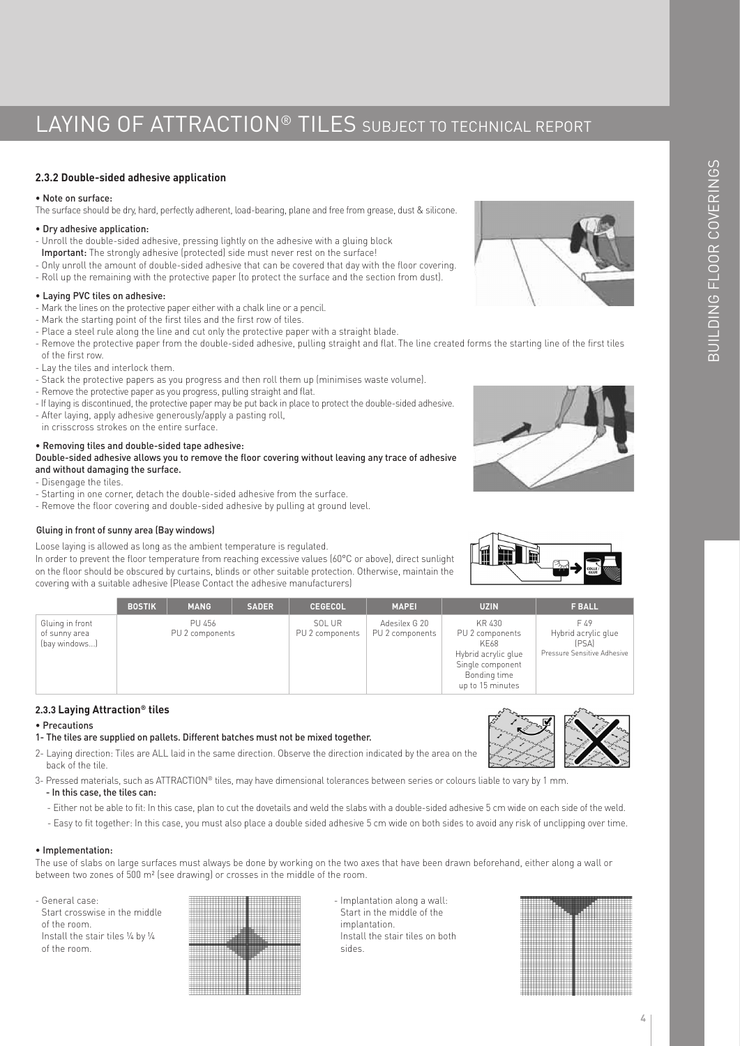## LAYING OF ATTRACTION<sup>®</sup> TILES SUBJECT TO TECHNICAL REPORT

#### **2.3.2 Double-sided adhesive application**

#### • Note on surface:

The surface should be dry, hard, perfectly adherent, load-bearing, plane and free from grease, dust & silicone.

#### • Dry adhesive application:

- Unroll the double-sided adhesive, pressing lightly on the adhesive with a gluing block
- Important: The strongly adhesive (protected) side must never rest on the surface!
- Only unroll the amount of double-sided adhesive that can be covered that day with the floor covering.
- Roll up the remaining with the protective paper (to protect the surface and the section from dust).

#### • Laying PVC tiles on adhesive:

- Mark the lines on the protective paper either with a chalk line or a pencil.
- Mark the starting point of the first tiles and the first row of tiles.
- Place a steel rule along the line and cut only the protective paper with a straight blade.
- Remove the protective paper from the double-sided adhesive, pulling straight and flat. The line created forms the starting line of the first tiles of the first row.
- Lay the tiles and interlock them.
- Stack the protective papers as you progress and then roll them up (minimises waste volume).
- Remove the protective paper as you progress, pulling straight and flat.
- If laying is discontinued, the protective paper may be put back in place to protect the double-sided adhesive.
- After laying, apply adhesive generously/apply a pasting roll,
- in crisscross strokes on the entire surface.

#### • Removing tiles and double-sided tape adhesive:

Double-sided adhesive allows you to remove the floor covering without leaving any trace of adhesive and without damaging the surface.

- Disengage the tiles.
- Starting in one corner, detach the double-sided adhesive from the surface.
- Remove the floor covering and double-sided adhesive by pulling at ground level.

#### Gluing in front of sunny area (Bay windows)

Loose laying is allowed as long as the ambient temperature is regulated.

In order to prevent the floor temperature from reaching excessive values (60°C or above), direct sunlight on the floor should be obscured by curtains, blinds or other suitable protection. Otherwise, maintain the covering with a suitable adhesive (Please Contact the adhesive manufacturers)



|                                                   | <b>BOSTIK</b> | <b>MANG</b>               | <b>SADER</b> | <b>CEGECOL</b>            | <b>MAPEI</b>                     | <b>UZIN</b>                                                                                                      | <b>F BALL</b>                                                       |
|---------------------------------------------------|---------------|---------------------------|--------------|---------------------------|----------------------------------|------------------------------------------------------------------------------------------------------------------|---------------------------------------------------------------------|
| Gluing in front<br>of sunny area<br>(bay windows) |               | PU 456<br>PU 2 components |              | SOL UR<br>PU 2 components | Adesilex G 20<br>PU 2 components | KR 430<br>PU 2 components<br>KE68<br>Hybrid acrylic glue<br>Single component<br>Bonding time<br>up to 15 minutes | F 49<br>Hybrid acrylic glue<br>(PSA)<br>Pressure Sensitive Adhesive |

#### **2.3.3 Laying Attraction® tiles**

#### • Precautions

- 1- The tiles are supplied on pallets. Different batches must not be mixed together.
- 2- Laying direction: Tiles are ALL laid in the same direction. Observe the direction indicated by the area on the back of the tile.
- 3- Pressed materials, such as ATTRACTION® tiles, may have dimensional tolerances between series or colours liable to vary by 1 mm. - In this case, the tiles can:
	- Either not be able to fit: In this case, plan to cut the dovetails and weld the slabs with a double-sided adhesive 5 cm wide on each side of the weld.
	- Easy to fit together: In this case, you must also place a double sided adhesive 5 cm wide on both sides to avoid any risk of unclipping over time.

#### • Implementation:

The use of slabs on large surfaces must always be done by working on the two axes that have been drawn beforehand, either along a wall or between two zones of 500 m² (see drawing) or crosses in the middle of the room.

- General case: Start crosswise in the middle of the room. Install the stair tiles ¼ by ¼ of the room.



- Implantation along a wall: Start in the middle of the implantation. Install the stair tiles on both sides.



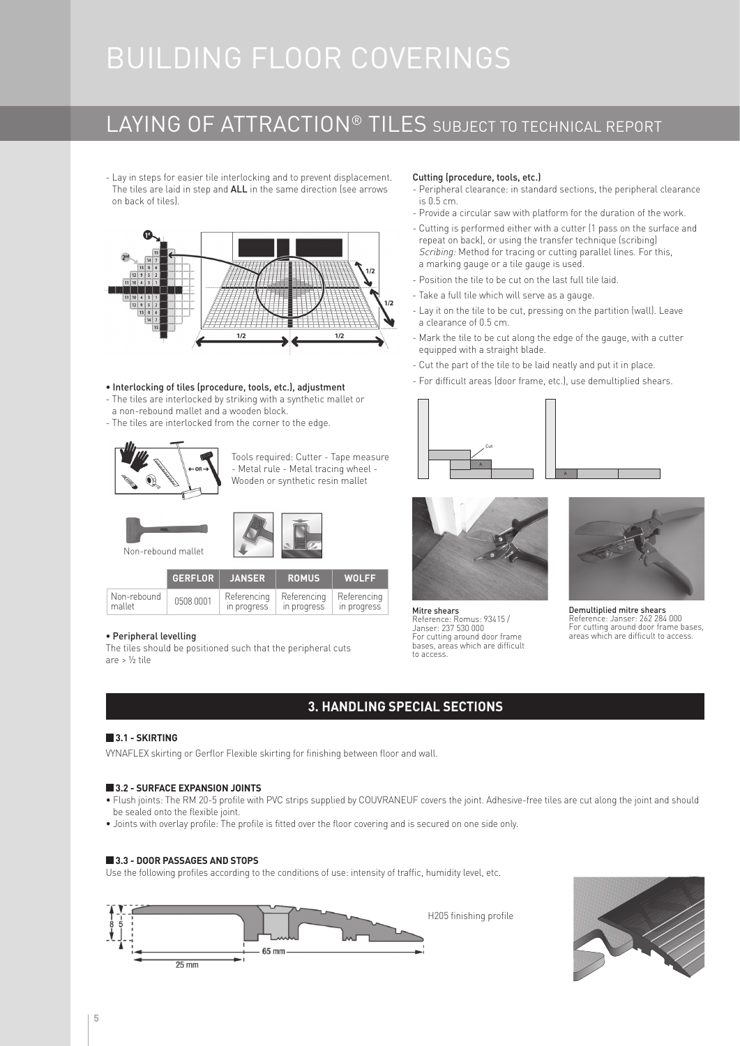# BUILDING FLOOR COVERINGS

## LAYING OF ATTRACTION® TILES SUBJECT TO TECHNICAL REPORT

- Lay in steps for easier tile interlocking and to prevent displacement. The tiles are laid in step and ALL in the same direction (see arrows on back of tiles).



#### • Interlocking of tiles (procedure, tools, etc.), adjustment

- The tiles are interlocked by striking with a synthetic mallet or
- a non-rebound mallet and a wooden block.
- The tiles are interlocked from the corner to the edge.



Tools required: Cutter - Tape measure - Metal rule - Metal tracing wheel - Wooden or synthetic resin mallet



|                       | GERFLOR   | JANSER                     | <b>ROMUS</b>               | <b>WOLFF</b>               |
|-----------------------|-----------|----------------------------|----------------------------|----------------------------|
| Non-rebound<br>mallet | 0508 0001 | Referencing<br>in progress | Referencina<br>in progress | Referencing<br>in progress |

#### • Peripheral levelling

The tiles should be positioned such that the peripheral cuts are > ½ tile

#### Cutting (procedure, tools, etc.)

- Peripheral clearance: in standard sections, the peripheral clearance is 0.5 cm.
- Provide a circular saw with platform for the duration of the work.
- Cutting is performed either with a cutter (1 pass on the surface and repeat on back), or using the transfer technique (scribing) Scribing: Method for tracing or cutting parallel lines. For this, a marking gauge or a tile gauge is used.
- Position the tile to be cut on the last full tile laid.
- Take a full tile which will serve as a gauge.
- Lay it on the tile to be cut, pressing on the partition (wall). Leave a clearance of 0.5 cm.
- Mark the tile to be cut along the edge of the gauge, with a cutter equipped with a straight blade.
- Cut the part of the tile to be laid neatly and put it in place.
- For difficult areas (door frame, etc.), use demultiplied shears.





Mitre shears Reference: Romus: 93415 / Janser: 237 530 000 For cutting around door frame bases, areas which are difficult to access.



Demultiplied mitre shears Reference: Janser: 262 284 000 For cutting around door frame bases, areas which are difficult to access.

### **3. HANDLING SPECIAL SECTIONS**

#### **3.1 - SKIRTING**

VYNAFLEX skirting or Gerflor Flexible skirting for finishing between floor and wall.

#### **3.2 - SURFACE EXPANSION JOINTS**

- Flush joints: The RM 20-5 profile with PVC strips supplied by COUVRANEUF covers the joint. Adhesive-free tiles are cut along the joint and should be sealed onto the flexible joint.
- Joints with overlay profile: The profile is fitted over the floor covering and is secured on one side only.

#### **3.3 - DOOR PASSAGES AND STOPS**

Use the following profiles according to the conditions of use: intensity of traffic, humidity level, etc.